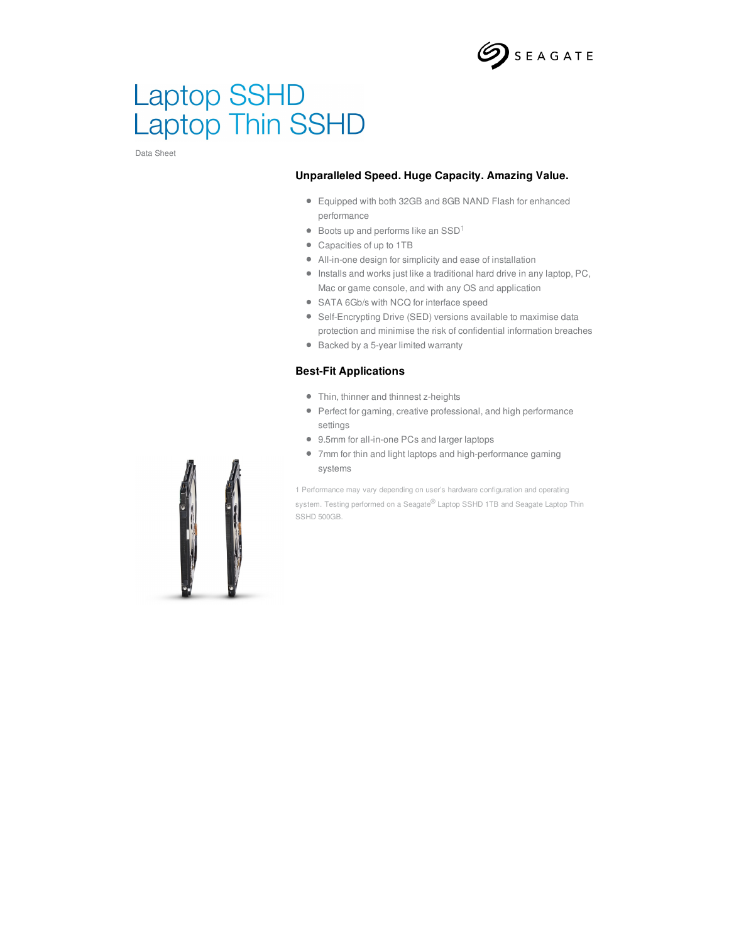

# **Laptop SSHD** Laptop Thin SSHD

Data Sheet

### **Unparalleled Speed. Huge Capacity. Amazing Value.**

- Equipped with both 32GB and 8GB NAND Flash for enhanced performance
- Boots up and performs like an  $\text{SSD}^1$
- Capacities of up to 1TB
- All-in-one design for simplicity and ease of installation
- Installs and works just like a traditional hard drive in any laptop, PC, Mac or game console, and with any OS and application
- SATA 6Gb/s with NCQ for interface speed
- Self-Encrypting Drive (SED) versions available to maximise data protection and minimise the risk of confidential information breaches
- Backed by a 5-year limited warranty

### **Best-Fit Applications**

- Thin, thinner and thinnest z-heights
- Perfect for gaming, creative professional, and high performance settings
- 9.5mm for all-in-one PCs and larger laptops
- 7mm for thin and light laptops and high-performance gaming systems

1 Performance may vary depending on user's hardware configuration and operating system. Testing performed on a Seagate® Laptop SSHD 1TB and Seagate Laptop Thin SSHD 500GB.